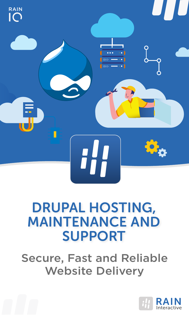

### DRUPAL HOSTING, MAINTENANCE AND SUPPORT

Secure, Fast and Reliable Website Delivery

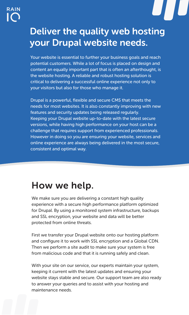

#### Deliver the quality web hosting your Drupal website needs.

Your website is essential to further your business goals and reach potential customers. While a lot of focus is placed on design and content an equally important part that is often an afterthought, is the website hosting. A reliable and robust hosting solution is critical to delivering a successful online experience not only to your visitors but also for those who manage it.

Drupal is a powerful, flexible and secure CMS that meets the needs for most websites. It is also constantly improving with new features and security updates being released regularly. Keeping your Drupal website up-to-date with the latest secure versions, while having high performance on your host can be a challenge that requires support from experienced professionals. However in doing so you are ensuring your website, services and online experience are always being delivered in the most secure, consistent and optimal way.

#### How we help.

We make sure you are delivering a constant high quality experience with a secure high performance platform optimized for Drupal. By using a monitored system infrastructure, backups and SSL encryption, your website and data will be better protected from online threats.

First we transfer your Drupal website onto our hosting platform and configure it to work with SSL encryption and a Global CDN. Then we perform a site audit to make sure your system is free from malicious code and that it is running safely and clean.

With your site on our service, our experts maintain your system, keeping it current with the latest updates and ensuring your website stays stable and secure. Our support team are also ready to answer your queries and to assist with your hosting and maintenance needs.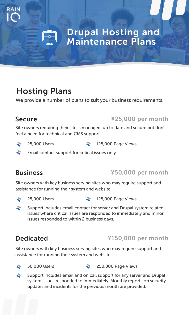

#### Drupal Hosting and Maintenance Plans

#### Hosting Plans

We provide a number of plans to suit your business requirements.

#### Secure

RAIN

#### ¥25,000 per month

Site owners requiring their site is managed, up to date and secure but don't feel a need for technical and CMS support.

**25,000 Users 25,000 Page Views** 

Email contact support for critical issues only.

#### **Business**

¥50,000 per month

Site owners with key business serving sites who may require support and assistance for running their system and website.

- $\sim$
- 25,000 Users 125,000 Page Views
- $\mathbf{z}$ Support includes email contact for server and Drupal system related issues where critical issues are responded to immediately and minor issues responded to within 2 business days.

#### Dedicated

#### ¥150,000 per month

Site owners with key business serving sites who may require support and assistance for running their system and website.

- ÷
- 50,000 Users 250,000 Page Views
- $\approx$ Support includes email and on call support for any server and Drupal system issues responded to immediately. Monthly reports on security updates and incidents for the previous month are provided.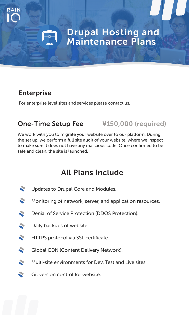

#### Drupal Hosting and Maintenance Plans

#### Enterprise

RAIN

For enterprise level sites and services please contact us.

#### One-Time Setup Fee ¥150,000 (required)

We work with you to migrate your website over to our platform. During the set up, we perform a full site audit of your website, where we inspect to make sure it does not have any malicious code. Once confirmed to be safe and clean, the site is launched.

#### All Plans Include

- **SE** Updates to Drupal Core and Modules.
- ÷. Monitoring of network, server, and application resources.
- Denial of Service Protection (DDOS Protection). ÷.
- Daily backups of website.
- $\mathcal{L}$ HTTPS protocol via SSL certificate.
- $\mathcal{L}$ Global CDN (Content Delivery Network).
- $\mathcal{L}$ Multi-site environments for Dev, Test and Live sites.
- $\mathcal{L}$ Git version control for website.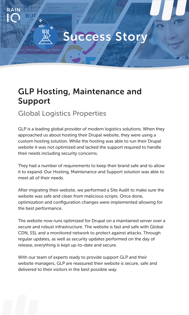### Success Story

#### GLP Hosting, Maintenance and Support

#### Global Logistics Properties

**DOI** 

RAIN

GLP is a leading global provider of modern logistics solutions. When they approached us about hosting their Drupal website, they were using a custom hosting solution. While the hosting was able to run their Drupal website it was not optimized and lacked the support required to handle their needs including security concerns.

They had a number of requirements to keep their brand safe and to allow it to expand. Our Hosting, Maintenance and Support solution was able to meet all of their needs.

After migrating their website, we performed a Site Audit to make sure the website was safe and clean from malicious scripts. Once done, optimization and configuration changes were implemented allowing for the best performance.

The website now runs optimized for Drupal on a maintained server over a secure and robust infrastructure. The website is fast and safe with Global CDN, SSL and a monitored network to protect against attacks. Through regular updates, as well as security updates performed on the day of release, everything is kept up-to-date and secure.

With our team of experts ready to provide support GLP and their website managers, GLP are reassured their website is secure, safe and delivered to their visitors in the best possible way.